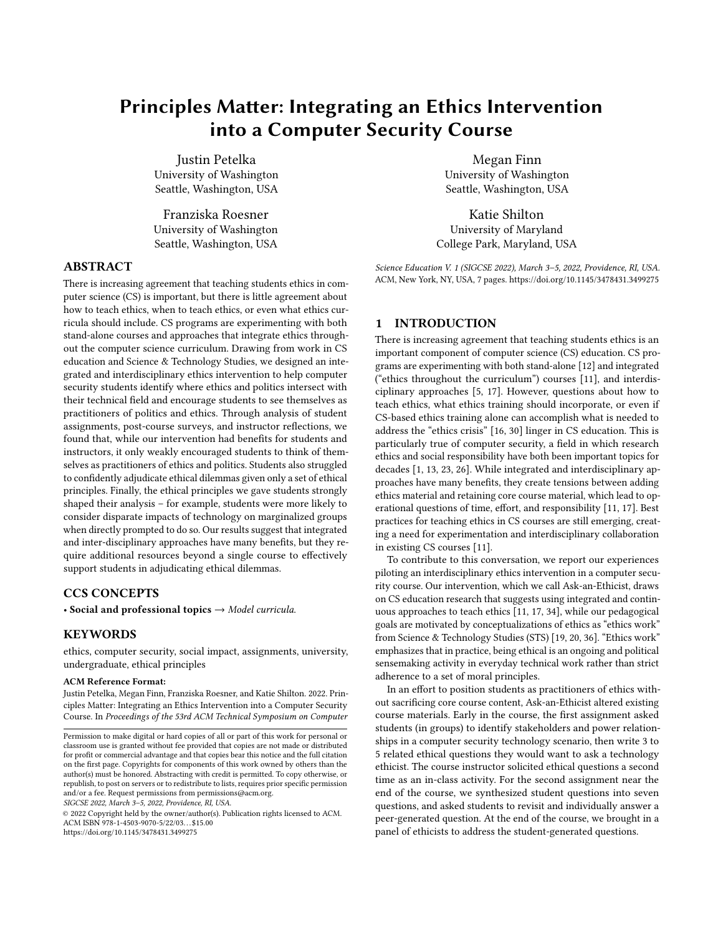# Principles Matter: Integrating an Ethics Intervention into a Computer Security Course

Justin Petelka University of Washington Seattle, Washington, USA

Franziska Roesner University of Washington Seattle, Washington, USA

# ABSTRACT

There is increasing agreement that teaching students ethics in computer science (CS) is important, but there is little agreement about how to teach ethics, when to teach ethics, or even what ethics curricula should include. CS programs are experimenting with both stand-alone courses and approaches that integrate ethics throughout the computer science curriculum. Drawing from work in CS education and Science & Technology Studies, we designed an integrated and interdisciplinary ethics intervention to help computer security students identify where ethics and politics intersect with their technical field and encourage students to see themselves as practitioners of politics and ethics. Through analysis of student assignments, post-course surveys, and instructor reflections, we found that, while our intervention had benefits for students and instructors, it only weakly encouraged students to think of themselves as practitioners of ethics and politics. Students also struggled to confidently adjudicate ethical dilemmas given only a set of ethical principles. Finally, the ethical principles we gave students strongly shaped their analysis – for example, students were more likely to consider disparate impacts of technology on marginalized groups when directly prompted to do so. Our results suggest that integrated and inter-disciplinary approaches have many benefits, but they require additional resources beyond a single course to effectively support students in adjudicating ethical dilemmas.

## CCS CONCEPTS

• Social and professional topics  $\rightarrow$  Model curricula.

#### **KEYWORDS**

ethics, computer security, social impact, assignments, university, undergraduate, ethical principles

#### ACM Reference Format:

Justin Petelka, Megan Finn, Franziska Roesner, and Katie Shilton. 2022. Principles Matter: Integrating an Ethics Intervention into a Computer Security Course. In Proceedings of the 53rd ACM Technical Symposium on Computer

SIGCSE 2022, March 3–5, 2022, Providence, RI, USA.

© 2022 Copyright held by the owner/author(s). Publication rights licensed to ACM. ACM ISBN 978-1-4503-9070-5/22/03. . . \$15.00 <https://doi.org/10.1145/3478431.3499275>

Megan Finn University of Washington Seattle, Washington, USA

Katie Shilton University of Maryland College Park, Maryland, USA

Science Education V. 1 (SIGCSE 2022), March 3–5, 2022, Providence, RI, USA. ACM, New York, NY, USA, [7](#page-6-0) pages.<https://doi.org/10.1145/3478431.3499275>

## 1 INTRODUCTION

There is increasing agreement that teaching students ethics is an important component of computer science (CS) education. CS programs are experimenting with both stand-alone [\[12\]](#page-6-1) and integrated ("ethics throughout the curriculum") courses [\[11\]](#page-6-2), and interdisciplinary approaches [\[5,](#page-6-3) [17\]](#page-6-4). However, questions about how to teach ethics, what ethics training should incorporate, or even if CS-based ethics training alone can accomplish what is needed to address the "ethics crisis" [\[16,](#page-6-5) [30\]](#page-6-6) linger in CS education. This is particularly true of computer security, a field in which research ethics and social responsibility have both been important topics for decades [\[1,](#page-5-0) [13,](#page-6-7) [23,](#page-6-8) [26\]](#page-6-9). While integrated and interdisciplinary approaches have many benefits, they create tensions between adding ethics material and retaining core course material, which lead to operational questions of time, effort, and responsibility [\[11,](#page-6-2) [17\]](#page-6-4). Best practices for teaching ethics in CS courses are still emerging, creating a need for experimentation and interdisciplinary collaboration in existing CS courses [\[11\]](#page-6-2).

To contribute to this conversation, we report our experiences piloting an interdisciplinary ethics intervention in a computer security course. Our intervention, which we call Ask-an-Ethicist, draws on CS education research that suggests using integrated and continuous approaches to teach ethics [\[11,](#page-6-2) [17,](#page-6-4) [34\]](#page-6-10), while our pedagogical goals are motivated by conceptualizations of ethics as "ethics work" from Science & Technology Studies (STS) [\[19,](#page-6-11) [20,](#page-6-12) [36\]](#page-6-13). "Ethics work" emphasizes that in practice, being ethical is an ongoing and political sensemaking activity in everyday technical work rather than strict adherence to a set of moral principles.

In an effort to position students as practitioners of ethics without sacrificing core course content, Ask-an-Ethicist altered existing course materials. Early in the course, the first assignment asked students (in groups) to identify stakeholders and power relationships in a computer security technology scenario, then write 3 to 5 related ethical questions they would want to ask a technology ethicist. The course instructor solicited ethical questions a second time as an in-class activity. For the second assignment near the end of the course, we synthesized student questions into seven questions, and asked students to revisit and individually answer a peer-generated question. At the end of the course, we brought in a panel of ethicists to address the student-generated questions.

Permission to make digital or hard copies of all or part of this work for personal or classroom use is granted without fee provided that copies are not made or distributed for profit or commercial advantage and that copies bear this notice and the full citation on the first page. Copyrights for components of this work owned by others than the author(s) must be honored. Abstracting with credit is permitted. To copy otherwise, or republish, to post on servers or to redistribute to lists, requires prior specific permission and/or a fee. Request permissions from permissions@acm.org.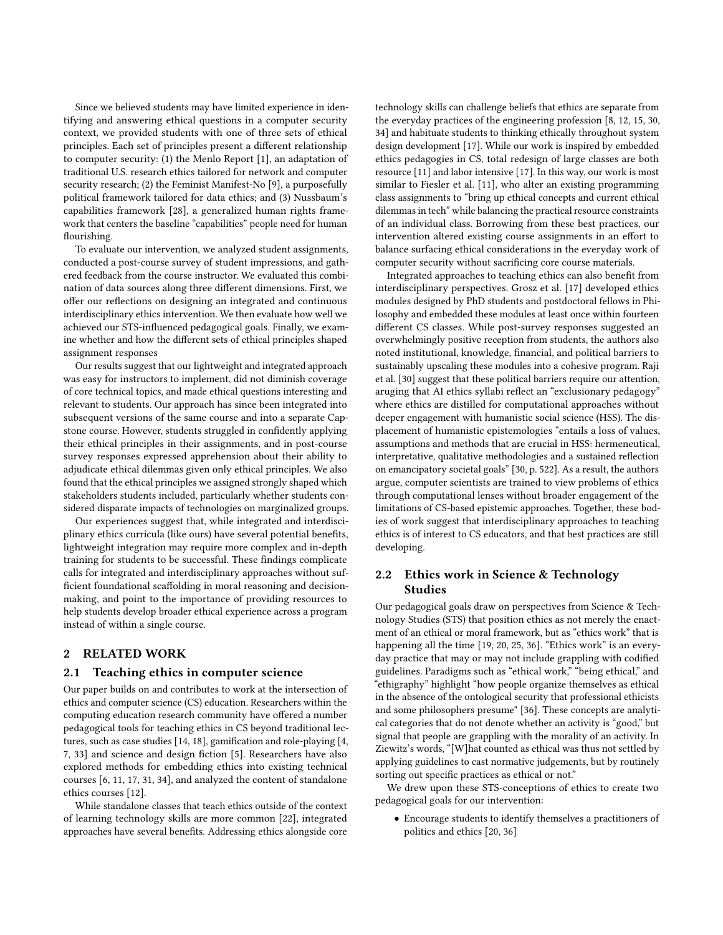Since we believed students may have limited experience in identifying and answering ethical questions in a computer security context, we provided students with one of three sets of ethical principles. Each set of principles present a different relationship to computer security: (1) the Menlo Report [\[1\]](#page-5-0), an adaptation of traditional U.S. research ethics tailored for network and computer security research; (2) the Feminist Manifest-No [\[9\]](#page-6-14), a purposefully political framework tailored for data ethics; and (3) Nussbaum's capabilities framework [\[28\]](#page-6-15), a generalized human rights framework that centers the baseline "capabilities" people need for human flourishing.

To evaluate our intervention, we analyzed student assignments, conducted a post-course survey of student impressions, and gathered feedback from the course instructor. We evaluated this combination of data sources along three different dimensions. First, we offer our reflections on designing an integrated and continuous interdisciplinary ethics intervention. We then evaluate how well we achieved our STS-influenced pedagogical goals. Finally, we examine whether and how the different sets of ethical principles shaped assignment responses

Our results suggest that our lightweight and integrated approach was easy for instructors to implement, did not diminish coverage of core technical topics, and made ethical questions interesting and relevant to students. Our approach has since been integrated into subsequent versions of the same course and into a separate Capstone course. However, students struggled in confidently applying their ethical principles in their assignments, and in post-course survey responses expressed apprehension about their ability to adjudicate ethical dilemmas given only ethical principles. We also found that the ethical principles we assigned strongly shaped which stakeholders students included, particularly whether students considered disparate impacts of technologies on marginalized groups.

Our experiences suggest that, while integrated and interdisciplinary ethics curricula (like ours) have several potential benefits, lightweight integration may require more complex and in-depth training for students to be successful. These findings complicate calls for integrated and interdisciplinary approaches without sufficient foundational scaffolding in moral reasoning and decisionmaking, and point to the importance of providing resources to help students develop broader ethical experience across a program instead of within a single course.

## 2 RELATED WORK

#### 2.1 Teaching ethics in computer science

Our paper builds on and contributes to work at the intersection of ethics and computer science (CS) education. Researchers within the computing education research community have offered a number pedagogical tools for teaching ethics in CS beyond traditional lectures, such as case studies [\[14,](#page-6-16) [18\]](#page-6-17), gamification and role-playing [\[4,](#page-6-18) [7,](#page-6-19) [33\]](#page-6-20) and science and design fiction [\[5\]](#page-6-3). Researchers have also explored methods for embedding ethics into existing technical courses [\[6,](#page-6-21) [11,](#page-6-2) [17,](#page-6-4) [31,](#page-6-22) [34\]](#page-6-10), and analyzed the content of standalone ethics courses [\[12\]](#page-6-1).

While standalone classes that teach ethics outside of the context of learning technology skills are more common [\[22\]](#page-6-23), integrated approaches have several benefits. Addressing ethics alongside core technology skills can challenge beliefs that ethics are separate from the everyday practices of the engineering profession [\[8,](#page-6-24) [12,](#page-6-1) [15,](#page-6-25) [30,](#page-6-6) [34\]](#page-6-10) and habituate students to thinking ethically throughout system design development [\[17\]](#page-6-4). While our work is inspired by embedded ethics pedagogies in CS, total redesign of large classes are both resource [\[11\]](#page-6-2) and labor intensive [\[17\]](#page-6-4). In this way, our work is most similar to Fiesler et al. [\[11\]](#page-6-2), who alter an existing programming class assignments to "bring up ethical concepts and current ethical dilemmas in tech" while balancing the practical resource constraints of an individual class. Borrowing from these best practices, our intervention altered existing course assignments in an effort to balance surfacing ethical considerations in the everyday work of computer security without sacrificing core course materials.

Integrated approaches to teaching ethics can also benefit from interdisciplinary perspectives. Grosz et al. [\[17\]](#page-6-4) developed ethics modules designed by PhD students and postdoctoral fellows in Philosophy and embedded these modules at least once within fourteen different CS classes. While post-survey responses suggested an overwhelmingly positive reception from students, the authors also noted institutional, knowledge, financial, and political barriers to sustainably upscaling these modules into a cohesive program. Raji et al. [\[30\]](#page-6-6) suggest that these political barriers require our attention, aruging that AI ethics syllabi reflect an "exclusionary pedagogy" where ethics are distilled for computational approaches without deeper engagement with humanistic social science (HSS). The displacement of humanistic epistemologies "entails a loss of values, assumptions and methods that are crucial in HSS: hermeneutical, interpretative, qualitative methodologies and a sustained reflection on emancipatory societal goals" [\[30,](#page-6-6) p. 522]. As a result, the authors argue, computer scientists are trained to view problems of ethics through computational lenses without broader engagement of the limitations of CS-based epistemic approaches. Together, these bodies of work suggest that interdisciplinary approaches to teaching ethics is of interest to CS educators, and that best practices are still developing.

## 2.2 Ethics work in Science & Technology Studies

Our pedagogical goals draw on perspectives from Science & Technology Studies (STS) that position ethics as not merely the enactment of an ethical or moral framework, but as "ethics work" that is happening all the time [\[19,](#page-6-11) [20,](#page-6-12) [25,](#page-6-26) [36\]](#page-6-13). "Ethics work" is an everyday practice that may or may not include grappling with codified guidelines. Paradigms such as "ethical work," "being ethical," and "ethigraphy" highlight "how people organize themselves as ethical in the absence of the ontological security that professional ethicists and some philosophers presume" [\[36\]](#page-6-13). These concepts are analytical categories that do not denote whether an activity is "good," but signal that people are grappling with the morality of an activity. In Ziewitz's words, "[W]hat counted as ethical was thus not settled by applying guidelines to cast normative judgements, but by routinely sorting out specific practices as ethical or not."

We drew upon these STS-conceptions of ethics to create two pedagogical goals for our intervention:

• Encourage students to identify themselves a practitioners of politics and ethics [\[20,](#page-6-12) [36\]](#page-6-13)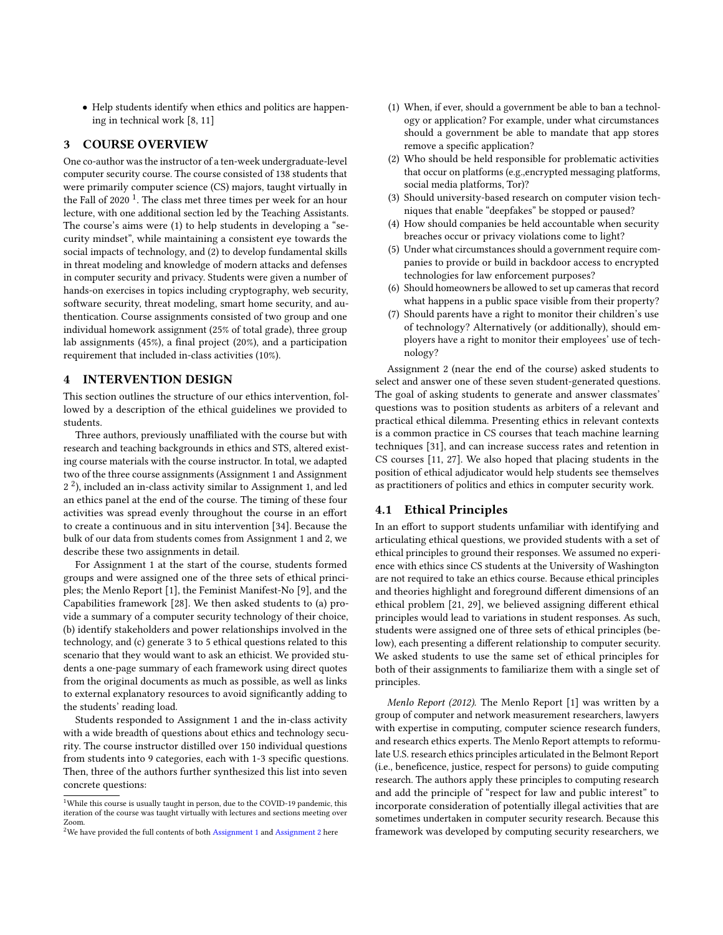• Help students identify when ethics and politics are happening in technical work [\[8,](#page-6-24) [11\]](#page-6-2)

## 3 COURSE OVERVIEW

One co-author was the instructor of a ten-week undergraduate-level computer security course. The course consisted of 138 students that were primarily computer science (CS) majors, taught virtually in the Fall of 2020  $^1$  $^1$ . The class met three times per week for an hour lecture, with one additional section led by the Teaching Assistants. The course's aims were (1) to help students in developing a "security mindset", while maintaining a consistent eye towards the social impacts of technology, and (2) to develop fundamental skills in threat modeling and knowledge of modern attacks and defenses in computer security and privacy. Students were given a number of hands-on exercises in topics including cryptography, web security, software security, threat modeling, smart home security, and authentication. Course assignments consisted of two group and one individual homework assignment (25% of total grade), three group lab assignments (45%), a final project (20%), and a participation requirement that included in-class activities (10%).

#### 4 INTERVENTION DESIGN

This section outlines the structure of our ethics intervention, followed by a description of the ethical guidelines we provided to students.

Three authors, previously unaffiliated with the course but with research and teaching backgrounds in ethics and STS, altered existing course materials with the course instructor. In total, we adapted two of the three course assignments (Assignment 1 and Assignment  $2<sup>2</sup>$  $2<sup>2</sup>$ ), included an in-class activity similar to Assignment 1, and led an ethics panel at the end of the course. The timing of these four activities was spread evenly throughout the course in an effort to create a continuous and in situ intervention [\[34\]](#page-6-10). Because the bulk of our data from students comes from Assignment 1 and 2, we describe these two assignments in detail.

For Assignment 1 at the start of the course, students formed groups and were assigned one of the three sets of ethical principles; the Menlo Report [\[1\]](#page-5-0), the Feminist Manifest-No [\[9\]](#page-6-14), and the Capabilities framework [\[28\]](#page-6-15). We then asked students to (a) provide a summary of a computer security technology of their choice, (b) identify stakeholders and power relationships involved in the technology, and (c) generate 3 to 5 ethical questions related to this scenario that they would want to ask an ethicist. We provided students a one-page summary of each framework using direct quotes from the original documents as much as possible, as well as links to external explanatory resources to avoid significantly adding to the students' reading load.

Students responded to Assignment 1 and the in-class activity with a wide breadth of questions about ethics and technology security. The course instructor distilled over 150 individual questions from students into 9 categories, each with 1-3 specific questions. Then, three of the authors further synthesized this list into seven concrete questions:

- (1) When, if ever, should a government be able to ban a technology or application? For example, under what circumstances should a government be able to mandate that app stores remove a specific application?
- (2) Who should be held responsible for problematic activities that occur on platforms (e.g.,encrypted messaging platforms, social media platforms, Tor)?
- (3) Should university-based research on computer vision techniques that enable "deepfakes" be stopped or paused?
- (4) How should companies be held accountable when security breaches occur or privacy violations come to light?
- (5) Under what circumstances should a government require companies to provide or build in backdoor access to encrypted technologies for law enforcement purposes?
- (6) Should homeowners be allowed to set up cameras that record what happens in a public space visible from their property?
- (7) Should parents have a right to monitor their children's use of technology? Alternatively (or additionally), should employers have a right to monitor their employees' use of technology?

Assignment 2 (near the end of the course) asked students to select and answer one of these seven student-generated questions. The goal of asking students to generate and answer classmates' questions was to position students as arbiters of a relevant and practical ethical dilemma. Presenting ethics in relevant contexts is a common practice in CS courses that teach machine learning techniques [\[31\]](#page-6-22), and can increase success rates and retention in CS courses [\[11,](#page-6-2) [27\]](#page-6-27). We also hoped that placing students in the position of ethical adjudicator would help students see themselves as practitioners of politics and ethics in computer security work.

## 4.1 Ethical Principles

In an effort to support students unfamiliar with identifying and articulating ethical questions, we provided students with a set of ethical principles to ground their responses. We assumed no experience with ethics since CS students at the University of Washington are not required to take an ethics course. Because ethical principles and theories highlight and foreground different dimensions of an ethical problem [\[21,](#page-6-28) [29\]](#page-6-29), we believed assigning different ethical principles would lead to variations in student responses. As such, students were assigned one of three sets of ethical principles (below), each presenting a different relationship to computer security. We asked students to use the same set of ethical principles for both of their assignments to familiarize them with a single set of principles.

Menlo Report (2012). The Menlo Report [\[1\]](#page-5-0) was written by a group of computer and network measurement researchers, lawyers with expertise in computing, computer science research funders, and research ethics experts. The Menlo Report attempts to reformulate U.S. research ethics principles articulated in the Belmont Report (i.e., beneficence, justice, respect for persons) to guide computing research. The authors apply these principles to computing research and add the principle of "respect for law and public interest" to incorporate consideration of potentially illegal activities that are sometimes undertaken in computer security research. Because this framework was developed by computing security researchers, we

<span id="page-2-0"></span> $^{\rm 1}$  While this course is usually taught in person, due to the COVID-19 pandemic, this iteration of the course was taught virtually with lectures and sections meeting over Zoom.

<span id="page-2-1"></span><sup>&</sup>lt;sup>2</sup>We have provided the full contents of both [Assignment 1](https://courses.cs.washington.edu/courses/cse484/20au/assignments/hw1.pdf) and [Assignment 2](https://courses.cs.washington.edu/courses/cse484/20au/assignments/hw3.pdf) here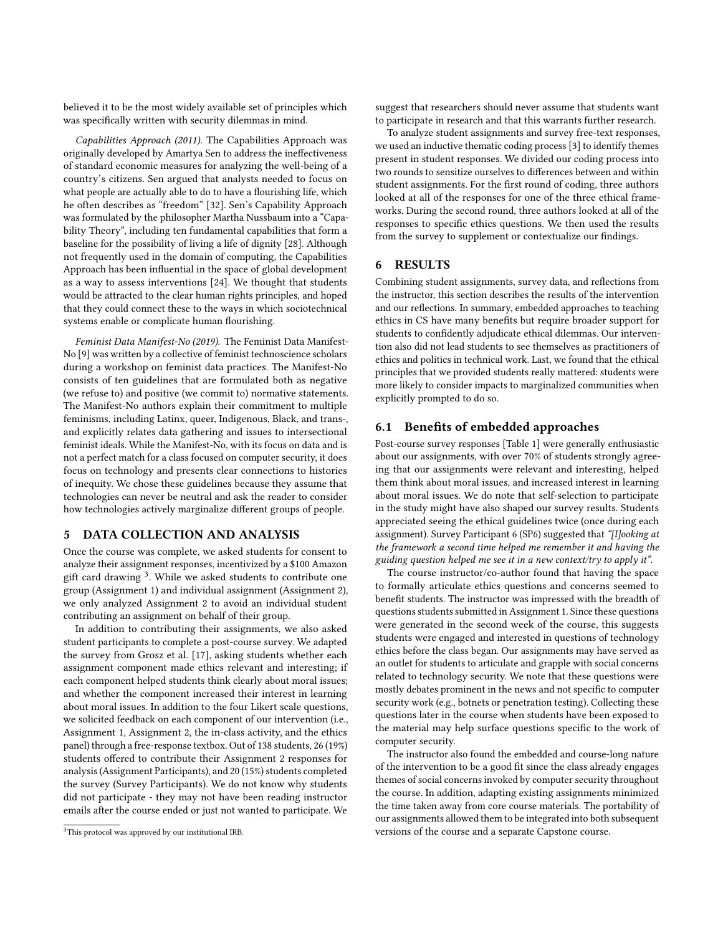believed it to be the most widely available set of principles which was specifically written with security dilemmas in mind.

Capabilities Approach (2011). The Capabilities Approach was originally developed by Amartya Sen to address the ineffectiveness of standard economic measures for analyzing the well-being of a country's citizens. Sen argued that analysts needed to focus on what people are actually able to do to have a flourishing life, which he often describes as "freedom" [\[32\]](#page-6-30). Sen's Capability Approach was formulated by the philosopher Martha Nussbaum into a "Capability Theory", including ten fundamental capabilities that form a baseline for the possibility of living a life of dignity [\[28\]](#page-6-15). Although not frequently used in the domain of computing, the Capabilities Approach has been influential in the space of global development as a way to assess interventions [\[24\]](#page-6-31). We thought that students would be attracted to the clear human rights principles, and hoped that they could connect these to the ways in which sociotechnical systems enable or complicate human flourishing.

Feminist Data Manifest-No (2019). The Feminist Data Manifest-No [\[9\]](#page-6-14) was written by a collective of feminist technoscience scholars during a workshop on feminist data practices. The Manifest-No consists of ten guidelines that are formulated both as negative (we refuse to) and positive (we commit to) normative statements. The Manifest-No authors explain their commitment to multiple feminisms, including Latinx, queer, Indigenous, Black, and trans-, and explicitly relates data gathering and issues to intersectional feminist ideals. While the Manifest-No, with its focus on data and is not a perfect match for a class focused on computer security, it does focus on technology and presents clear connections to histories of inequity. We chose these guidelines because they assume that technologies can never be neutral and ask the reader to consider how technologies actively marginalize different groups of people.

## 5 DATA COLLECTION AND ANALYSIS

Once the course was complete, we asked students for consent to analyze their assignment responses, incentivized by a \$100 Amazon gift card drawing <sup>[3](#page-3-0)</sup>. While we asked students to contribute one group (Assignment 1) and individual assignment (Assignment 2), we only analyzed Assignment 2 to avoid an individual student contributing an assignment on behalf of their group.

In addition to contributing their assignments, we also asked student participants to complete a post-course survey. We adapted the survey from Grosz et al. [\[17\]](#page-6-4), asking students whether each assignment component made ethics relevant and interesting; if each component helped students think clearly about moral issues; and whether the component increased their interest in learning about moral issues. In addition to the four Likert scale questions, we solicited feedback on each component of our intervention (i.e., Assignment 1, Assignment 2, the in-class activity, and the ethics panel) through a free-response textbox. Out of 138 students, 26 (19%) students offered to contribute their Assignment 2 responses for analysis (Assignment Participants), and 20 (15%) students completed the survey (Survey Participants). We do not know why students did not participate - they may not have been reading instructor emails after the course ended or just not wanted to participate. We

suggest that researchers should never assume that students want to participate in research and that this warrants further research.

To analyze student assignments and survey free-text responses, we used an inductive thematic coding process [\[3\]](#page-6-32) to identify themes present in student responses. We divided our coding process into two rounds to sensitize ourselves to differences between and within student assignments. For the first round of coding, three authors looked at all of the responses for one of the three ethical frameworks. During the second round, three authors looked at all of the responses to specific ethics questions. We then used the results from the survey to supplement or contextualize our findings.

## 6 RESULTS

Combining student assignments, survey data, and reflections from the instructor, this section describes the results of the intervention and our reflections. In summary, embedded approaches to teaching ethics in CS have many benefits but require broader support for students to confidently adjudicate ethical dilemmas. Our intervention also did not lead students to see themselves as practitioners of ethics and politics in technical work. Last, we found that the ethical principles that we provided students really mattered: students were more likely to consider impacts to marginalized communities when explicitly prompted to do so.

#### 6.1 Benefits of embedded approaches

Post-course survey responses [Table [1\]](#page-4-0) were generally enthusiastic about our assignments, with over 70% of students strongly agreeing that our assignments were relevant and interesting, helped them think about moral issues, and increased interest in learning about moral issues. We do note that self-selection to participate in the study might have also shaped our survey results. Students appreciated seeing the ethical guidelines twice (once during each assignment). Survey Participant 6 (SP6) suggested that "[l]ooking at the framework a second time helped me remember it and having the guiding question helped me see it in a new context/try to apply it".

The course instructor/co-author found that having the space to formally articulate ethics questions and concerns seemed to benefit students. The instructor was impressed with the breadth of questions students submitted in Assignment 1. Since these questions were generated in the second week of the course, this suggests students were engaged and interested in questions of technology ethics before the class began. Our assignments may have served as an outlet for students to articulate and grapple with social concerns related to technology security. We note that these questions were mostly debates prominent in the news and not specific to computer security work (e.g., botnets or penetration testing). Collecting these questions later in the course when students have been exposed to the material may help surface questions specific to the work of computer security.

The instructor also found the embedded and course-long nature of the intervention to be a good fit since the class already engages themes of social concerns invoked by computer security throughout the course. In addition, adapting existing assignments minimized the time taken away from core course materials. The portability of our assignments allowed them to be integrated into both subsequent versions of the course and a separate Capstone course.

<span id="page-3-0"></span><sup>&</sup>lt;sup>3</sup>This protocol was approved by our institutional IRB.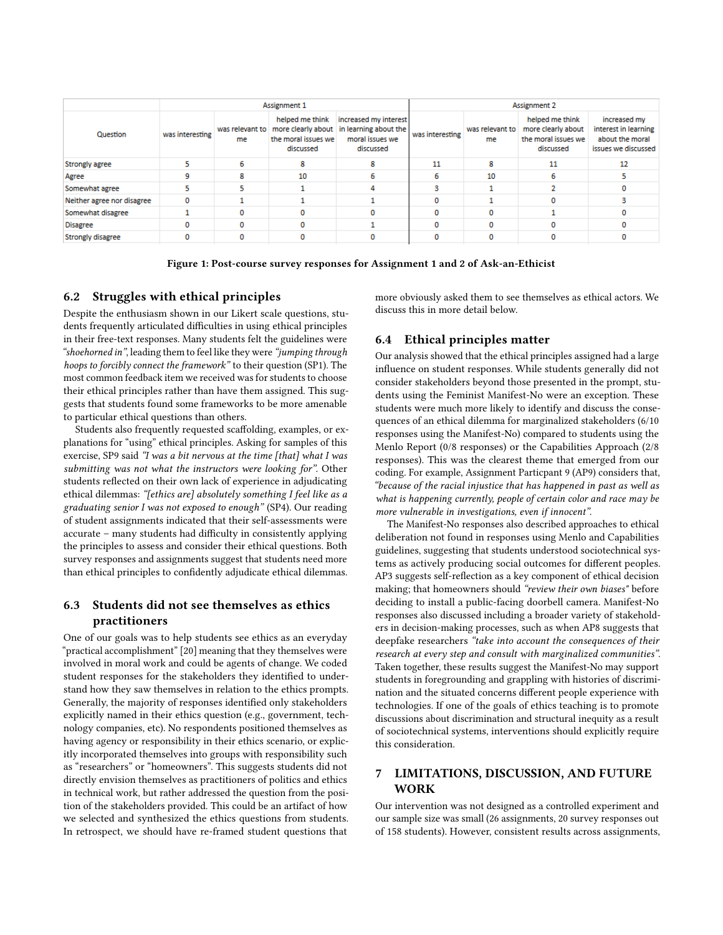<span id="page-4-0"></span>

|                            | Assignment 1    |    |                                                                                             |                                                                                | Assignment 2    |                       |                                                                           |                                                                                |
|----------------------------|-----------------|----|---------------------------------------------------------------------------------------------|--------------------------------------------------------------------------------|-----------------|-----------------------|---------------------------------------------------------------------------|--------------------------------------------------------------------------------|
| Question                   | was interesting | me | helped me think<br>was relevant to   more clearly about<br>the moral issues we<br>discussed | increased my interest<br>in learning about the<br>moral issues we<br>discussed | was interesting | was relevant to<br>me | helped me think<br>more clearly about<br>the moral issues we<br>discussed | increased my<br>interest in learning<br>about the moral<br>issues we discussed |
| Strongly agree             |                 | 6  | я                                                                                           |                                                                                | 11              | 8                     | 11                                                                        | 12                                                                             |
| Agree                      | ٥               | 8  | 10                                                                                          |                                                                                | 6               | 10                    |                                                                           |                                                                                |
| Somewhat agree             |                 |    |                                                                                             |                                                                                |                 |                       |                                                                           |                                                                                |
| Neither agree nor disagree | o               |    |                                                                                             |                                                                                |                 |                       |                                                                           |                                                                                |
| Somewhat disagree          |                 | ٥  |                                                                                             |                                                                                |                 | 0                     |                                                                           |                                                                                |
| <b>Disagree</b>            | o               | 0  |                                                                                             |                                                                                |                 | o                     |                                                                           |                                                                                |
| <b>Strongly disagree</b>   | 0               |    |                                                                                             |                                                                                |                 | o                     |                                                                           |                                                                                |

Figure 1: Post-course survey responses for Assignment 1 and 2 of Ask-an-Ethicist

#### 6.2 Struggles with ethical principles

Despite the enthusiasm shown in our Likert scale questions, students frequently articulated difficulties in using ethical principles in their free-text responses. Many students felt the guidelines were "shoehorned in", leading them to feel like they were "jumping through hoops to forcibly connect the framework" to their question (SP1). The most common feedback item we received was for students to choose their ethical principles rather than have them assigned. This suggests that students found some frameworks to be more amenable to particular ethical questions than others.

Students also frequently requested scaffolding, examples, or explanations for "using" ethical principles. Asking for samples of this exercise, SP9 said "I was a bit nervous at the time [that] what I was submitting was not what the instructors were looking for". Other students reflected on their own lack of experience in adjudicating ethical dilemmas: "[ethics are] absolutely something I feel like as a graduating senior I was not exposed to enough" (SP4). Our reading of student assignments indicated that their self-assessments were accurate – many students had difficulty in consistently applying the principles to assess and consider their ethical questions. Both survey responses and assignments suggest that students need more than ethical principles to confidently adjudicate ethical dilemmas.

# 6.3 Students did not see themselves as ethics practitioners

One of our goals was to help students see ethics as an everyday "practical accomplishment" [\[20\]](#page-6-12) meaning that they themselves were involved in moral work and could be agents of change. We coded student responses for the stakeholders they identified to understand how they saw themselves in relation to the ethics prompts. Generally, the majority of responses identified only stakeholders explicitly named in their ethics question (e.g., government, technology companies, etc). No respondents positioned themselves as having agency or responsibility in their ethics scenario, or explicitly incorporated themselves into groups with responsibility such as "researchers" or "homeowners". This suggests students did not directly envision themselves as practitioners of politics and ethics in technical work, but rather addressed the question from the position of the stakeholders provided. This could be an artifact of how we selected and synthesized the ethics questions from students. In retrospect, we should have re-framed student questions that

more obviously asked them to see themselves as ethical actors. We discuss this in more detail below.

## 6.4 Ethical principles matter

Our analysis showed that the ethical principles assigned had a large influence on student responses. While students generally did not consider stakeholders beyond those presented in the prompt, students using the Feminist Manifest-No were an exception. These students were much more likely to identify and discuss the consequences of an ethical dilemma for marginalized stakeholders (6/10 responses using the Manifest-No) compared to students using the Menlo Report (0/8 responses) or the Capabilities Approach (2/8 responses). This was the clearest theme that emerged from our coding. For example, Assignment Particpant 9 (AP9) considers that, "because of the racial injustice that has happened in past as well as what is happening currently, people of certain color and race may be more vulnerable in investigations, even if innocent".

The Manifest-No responses also described approaches to ethical deliberation not found in responses using Menlo and Capabilities guidelines, suggesting that students understood sociotechnical systems as actively producing social outcomes for different peoples. AP3 suggests self-reflection as a key component of ethical decision making; that homeowners should "review their own biases" before deciding to install a public-facing doorbell camera. Manifest-No responses also discussed including a broader variety of stakeholders in decision-making processes, such as when AP8 suggests that deepfake researchers "take into account the consequences of their research at every step and consult with marginalized communities". Taken together, these results suggest the Manifest-No may support students in foregrounding and grappling with histories of discrimination and the situated concerns different people experience with technologies. If one of the goals of ethics teaching is to promote discussions about discrimination and structural inequity as a result of sociotechnical systems, interventions should explicitly require this consideration.

# 7 LIMITATIONS, DISCUSSION, AND FUTURE WORK

Our intervention was not designed as a controlled experiment and our sample size was small (26 assignments, 20 survey responses out of 158 students). However, consistent results across assignments,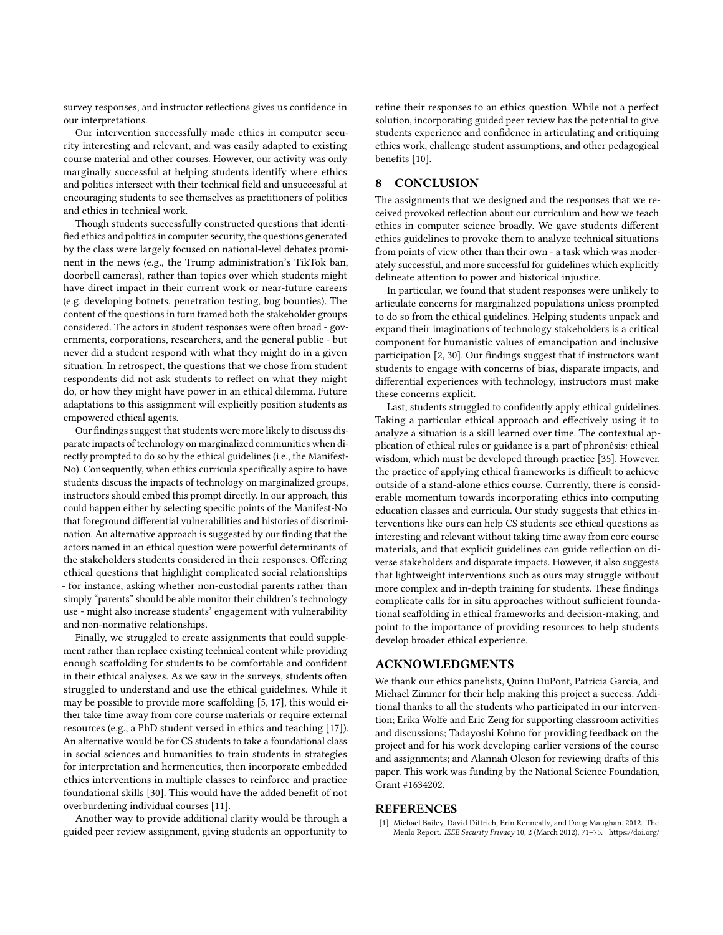survey responses, and instructor reflections gives us confidence in our interpretations.

Our intervention successfully made ethics in computer security interesting and relevant, and was easily adapted to existing course material and other courses. However, our activity was only marginally successful at helping students identify where ethics and politics intersect with their technical field and unsuccessful at encouraging students to see themselves as practitioners of politics and ethics in technical work.

Though students successfully constructed questions that identified ethics and politics in computer security, the questions generated by the class were largely focused on national-level debates prominent in the news (e.g., the Trump administration's TikTok ban, doorbell cameras), rather than topics over which students might have direct impact in their current work or near-future careers (e.g. developing botnets, penetration testing, bug bounties). The content of the questions in turn framed both the stakeholder groups considered. The actors in student responses were often broad - governments, corporations, researchers, and the general public - but never did a student respond with what they might do in a given situation. In retrospect, the questions that we chose from student respondents did not ask students to reflect on what they might do, or how they might have power in an ethical dilemma. Future adaptations to this assignment will explicitly position students as empowered ethical agents.

Our findings suggest that students were more likely to discuss disparate impacts of technology on marginalized communities when directly prompted to do so by the ethical guidelines (i.e., the Manifest-No). Consequently, when ethics curricula specifically aspire to have students discuss the impacts of technology on marginalized groups, instructors should embed this prompt directly. In our approach, this could happen either by selecting specific points of the Manifest-No that foreground differential vulnerabilities and histories of discrimination. An alternative approach is suggested by our finding that the actors named in an ethical question were powerful determinants of the stakeholders students considered in their responses. Offering ethical questions that highlight complicated social relationships - for instance, asking whether non-custodial parents rather than simply "parents" should be able monitor their children's technology use - might also increase students' engagement with vulnerability and non-normative relationships.

Finally, we struggled to create assignments that could supplement rather than replace existing technical content while providing enough scaffolding for students to be comfortable and confident in their ethical analyses. As we saw in the surveys, students often struggled to understand and use the ethical guidelines. While it may be possible to provide more scaffolding [\[5,](#page-6-3) [17\]](#page-6-4), this would either take time away from core course materials or require external resources (e.g., a PhD student versed in ethics and teaching [\[17\]](#page-6-4)). An alternative would be for CS students to take a foundational class in social sciences and humanities to train students in strategies for interpretation and hermeneutics, then incorporate embedded ethics interventions in multiple classes to reinforce and practice foundational skills [\[30\]](#page-6-6). This would have the added benefit of not overburdening individual courses [\[11\]](#page-6-2).

Another way to provide additional clarity would be through a guided peer review assignment, giving students an opportunity to refine their responses to an ethics question. While not a perfect solution, incorporating guided peer review has the potential to give students experience and confidence in articulating and critiquing ethics work, challenge student assumptions, and other pedagogical benefits [\[10\]](#page-6-33).

#### 8 CONCLUSION

The assignments that we designed and the responses that we received provoked reflection about our curriculum and how we teach ethics in computer science broadly. We gave students different ethics guidelines to provoke them to analyze technical situations from points of view other than their own - a task which was moderately successful, and more successful for guidelines which explicitly delineate attention to power and historical injustice.

In particular, we found that student responses were unlikely to articulate concerns for marginalized populations unless prompted to do so from the ethical guidelines. Helping students unpack and expand their imaginations of technology stakeholders is a critical component for humanistic values of emancipation and inclusive participation [\[2,](#page-6-34) [30\]](#page-6-6). Our findings suggest that if instructors want students to engage with concerns of bias, disparate impacts, and differential experiences with technology, instructors must make these concerns explicit.

Last, students struggled to confidently apply ethical guidelines. Taking a particular ethical approach and effectively using it to analyze a situation is a skill learned over time. The contextual application of ethical rules or guidance is a part of phronêsis: ethical wisdom, which must be developed through practice [\[35\]](#page-6-35). However, the practice of applying ethical frameworks is difficult to achieve outside of a stand-alone ethics course. Currently, there is considerable momentum towards incorporating ethics into computing education classes and curricula. Our study suggests that ethics interventions like ours can help CS students see ethical questions as interesting and relevant without taking time away from core course materials, and that explicit guidelines can guide reflection on diverse stakeholders and disparate impacts. However, it also suggests that lightweight interventions such as ours may struggle without more complex and in-depth training for students. These findings complicate calls for in situ approaches without sufficient foundational scaffolding in ethical frameworks and decision-making, and point to the importance of providing resources to help students develop broader ethical experience.

## ACKNOWLEDGMENTS

We thank our ethics panelists, Quinn DuPont, Patricia Garcia, and Michael Zimmer for their help making this project a success. Additional thanks to all the students who participated in our intervention; Erika Wolfe and Eric Zeng for supporting classroom activities and discussions; Tadayoshi Kohno for providing feedback on the project and for his work developing earlier versions of the course and assignments; and Alannah Oleson for reviewing drafts of this paper. This work was funding by the National Science Foundation, Grant #1634202.

#### REFERENCES

<span id="page-5-0"></span>Michael Bailey, David Dittrich, Erin Kenneally, and Doug Maughan. 2012. The Menlo Report. IEEE Security Privacy 10, 2 (March 2012), 71–75. [https://doi.org/](https://doi.org/10.1109/MSP.2012.52)